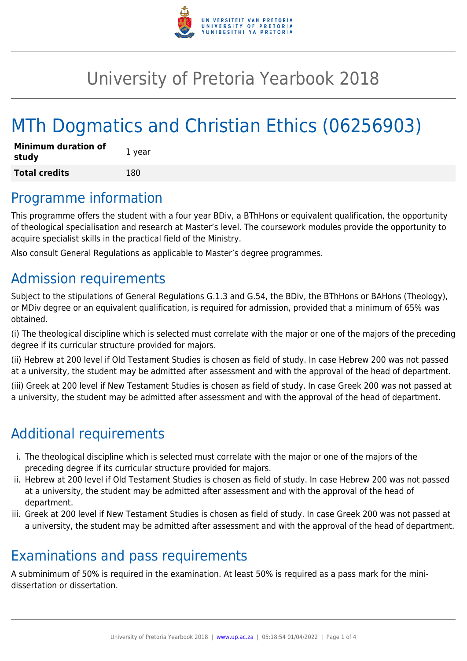

## University of Pretoria Yearbook 2018

# MTh Dogmatics and Christian Ethics (06256903)

| <b>Minimum duration of</b><br>study | 1 year |
|-------------------------------------|--------|
| <b>Total credits</b>                | 180    |

### Programme information

This programme offers the student with a four year BDiv, a BThHons or equivalent qualification, the opportunity of theological specialisation and research at Master's level. The coursework modules provide the opportunity to acquire specialist skills in the practical field of the Ministry.

Also consult General Regulations as applicable to Master's degree programmes.

### Admission requirements

Subject to the stipulations of General Regulations G.1.3 and G.54, the BDiv, the BThHons or BAHons (Theology), or MDiv degree or an equivalent qualification, is required for admission, provided that a minimum of 65% was obtained.

(i) The theological discipline which is selected must correlate with the major or one of the majors of the preceding degree if its curricular structure provided for majors.

(ii) Hebrew at 200 level if Old Testament Studies is chosen as field of study. In case Hebrew 200 was not passed at a university, the student may be admitted after assessment and with the approval of the head of department.

(iii) Greek at 200 level if New Testament Studies is chosen as field of study. In case Greek 200 was not passed at a university, the student may be admitted after assessment and with the approval of the head of department.

### Additional requirements

- i. The theological discipline which is selected must correlate with the major or one of the majors of the preceding degree if its curricular structure provided for majors.
- ii. Hebrew at 200 level if Old Testament Studies is chosen as field of study. In case Hebrew 200 was not passed at a university, the student may be admitted after assessment and with the approval of the head of department.
- iii. Greek at 200 level if New Testament Studies is chosen as field of study. In case Greek 200 was not passed at a university, the student may be admitted after assessment and with the approval of the head of department.

### Examinations and pass requirements

A subminimum of 50% is required in the examination. At least 50% is required as a pass mark for the minidissertation or dissertation.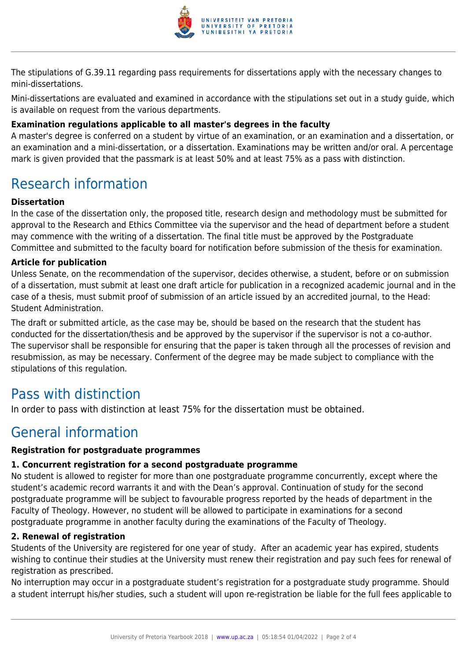

The stipulations of G.39.11 regarding pass requirements for dissertations apply with the necessary changes to mini-dissertations.

Mini-dissertations are evaluated and examined in accordance with the stipulations set out in a study guide, which is available on request from the various departments.

#### **Examination regulations applicable to all master's degrees in the faculty**

A master's degree is conferred on a student by virtue of an examination, or an examination and a dissertation, or an examination and a mini-dissertation, or a dissertation. Examinations may be written and/or oral. A percentage mark is given provided that the passmark is at least 50% and at least 75% as a pass with distinction.

### Research information

#### **Dissertation**

In the case of the dissertation only, the proposed title, research design and methodology must be submitted for approval to the Research and Ethics Committee via the supervisor and the head of department before a student may commence with the writing of a dissertation. The final title must be approved by the Postgraduate Committee and submitted to the faculty board for notification before submission of the thesis for examination.

#### **Article for publication**

Unless Senate, on the recommendation of the supervisor, decides otherwise, a student, before or on submission of a dissertation, must submit at least one draft article for publication in a recognized academic journal and in the case of a thesis, must submit proof of submission of an article issued by an accredited journal, to the Head: Student Administration.

The draft or submitted article, as the case may be, should be based on the research that the student has conducted for the dissertation/thesis and be approved by the supervisor if the supervisor is not a co-author. The supervisor shall be responsible for ensuring that the paper is taken through all the processes of revision and resubmission, as may be necessary. Conferment of the degree may be made subject to compliance with the stipulations of this regulation.

### Pass with distinction

In order to pass with distinction at least 75% for the dissertation must be obtained.

### General information

#### **Registration for postgraduate programmes**

#### **1. Concurrent registration for a second postgraduate programme**

No student is allowed to register for more than one postgraduate programme concurrently, except where the student's academic record warrants it and with the Dean's approval. Continuation of study for the second postgraduate programme will be subject to favourable progress reported by the heads of department in the Faculty of Theology. However, no student will be allowed to participate in examinations for a second postgraduate programme in another faculty during the examinations of the Faculty of Theology.

#### **2. Renewal of registration**

Students of the University are registered for one year of study. After an academic year has expired, students wishing to continue their studies at the University must renew their registration and pay such fees for renewal of registration as prescribed.

No interruption may occur in a postgraduate student's registration for a postgraduate study programme. Should a student interrupt his/her studies, such a student will upon re-registration be liable for the full fees applicable to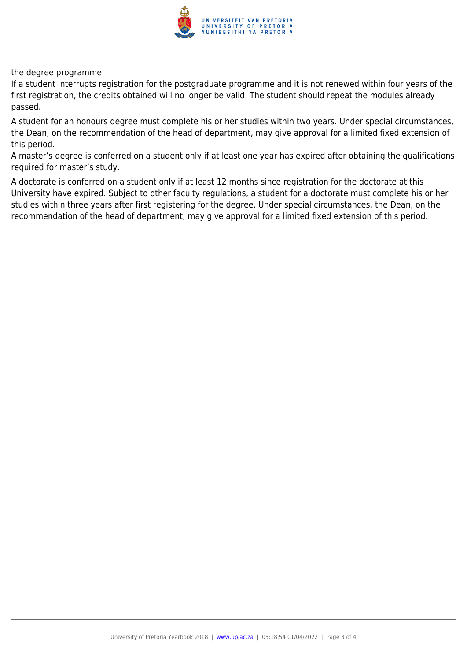

the degree programme.

If a student interrupts registration for the postgraduate programme and it is not renewed within four years of the first registration, the credits obtained will no longer be valid. The student should repeat the modules already passed.

A student for an honours degree must complete his or her studies within two years. Under special circumstances, the Dean, on the recommendation of the head of department, may give approval for a limited fixed extension of this period.

A master's degree is conferred on a student only if at least one year has expired after obtaining the qualifications required for master's study.

A doctorate is conferred on a student only if at least 12 months since registration for the doctorate at this University have expired. Subject to other faculty regulations, a student for a doctorate must complete his or her studies within three years after first registering for the degree. Under special circumstances, the Dean, on the recommendation of the head of department, may give approval for a limited fixed extension of this period.